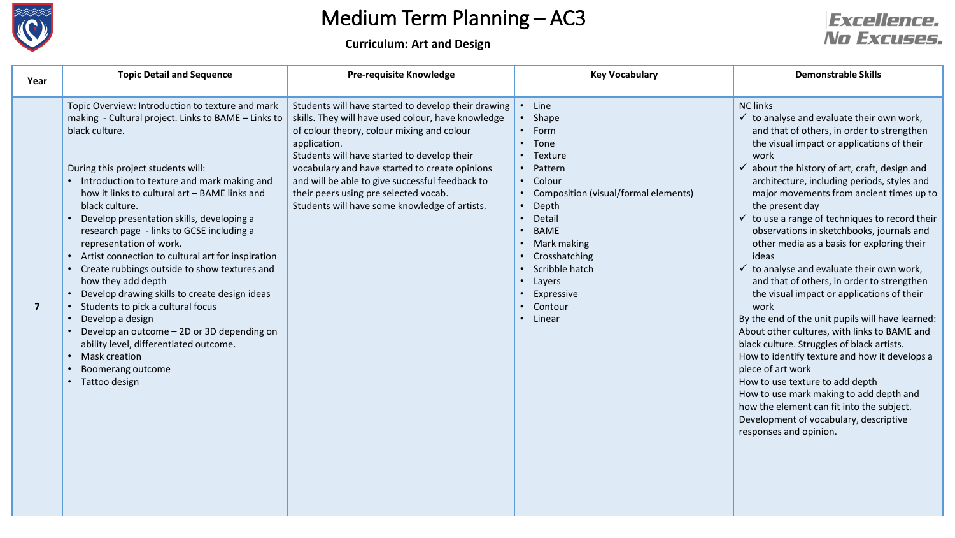

**Curriculum: Art and Design**

#### **Excellence.** No Excuses.

| Year                    | <b>Topic Detail and Sequence</b>                                                                                                                                                                                                                                                                                                                                                                                                                                                                                                                                                                                                                                                                                                                                                                             | <b>Pre-requisite Knowledge</b>                                                                                                                                                                                                                                                                                                                                                                                        | <b>Key Vocabulary</b>                                                                                                                                                                                                                                               | <b>Demonstrable Skills</b>                                                                                                                                                                                                                                                                                                                                                                                                                                                                                                                                                                                                                                                                                                                                                                                                                                                                                                                                                                                                                                                                                |
|-------------------------|--------------------------------------------------------------------------------------------------------------------------------------------------------------------------------------------------------------------------------------------------------------------------------------------------------------------------------------------------------------------------------------------------------------------------------------------------------------------------------------------------------------------------------------------------------------------------------------------------------------------------------------------------------------------------------------------------------------------------------------------------------------------------------------------------------------|-----------------------------------------------------------------------------------------------------------------------------------------------------------------------------------------------------------------------------------------------------------------------------------------------------------------------------------------------------------------------------------------------------------------------|---------------------------------------------------------------------------------------------------------------------------------------------------------------------------------------------------------------------------------------------------------------------|-----------------------------------------------------------------------------------------------------------------------------------------------------------------------------------------------------------------------------------------------------------------------------------------------------------------------------------------------------------------------------------------------------------------------------------------------------------------------------------------------------------------------------------------------------------------------------------------------------------------------------------------------------------------------------------------------------------------------------------------------------------------------------------------------------------------------------------------------------------------------------------------------------------------------------------------------------------------------------------------------------------------------------------------------------------------------------------------------------------|
| $\overline{\mathbf{z}}$ | Topic Overview: Introduction to texture and mark<br>making - Cultural project. Links to BAME - Links to<br>black culture.<br>During this project students will:<br>• Introduction to texture and mark making and<br>how it links to cultural art - BAME links and<br>black culture.<br>• Develop presentation skills, developing a<br>research page - links to GCSE including a<br>representation of work.<br>• Artist connection to cultural art for inspiration<br>• Create rubbings outside to show textures and<br>how they add depth<br>• Develop drawing skills to create design ideas<br>Students to pick a cultural focus<br>• Develop a design<br>• Develop an outcome - 2D or 3D depending on<br>ability level, differentiated outcome.<br>• Mask creation<br>Boomerang outcome<br>• Tattoo design | Students will have started to develop their drawing<br>skills. They will have used colour, have knowledge<br>of colour theory, colour mixing and colour<br>application.<br>Students will have started to develop their<br>vocabulary and have started to create opinions<br>and will be able to give successful feedback to<br>their peers using pre selected vocab.<br>Students will have some knowledge of artists. | Line<br>• Shape<br>• Form<br>• Tone<br>• Texture<br>Pattern<br>• Colour<br>• Composition (visual/formal elements)<br>Depth<br>Detail<br>$\bullet$<br><b>BAME</b><br>Mark making<br>Crosshatching<br>Scribble hatch<br>Layers<br>Expressive<br>• Contour<br>• Linear | <b>NC links</b><br>$\checkmark$ to analyse and evaluate their own work,<br>and that of others, in order to strengthen<br>the visual impact or applications of their<br>work<br>$\checkmark$ about the history of art, craft, design and<br>architecture, including periods, styles and<br>major movements from ancient times up to<br>the present day<br>$\checkmark$ to use a range of techniques to record their<br>observations in sketchbooks, journals and<br>other media as a basis for exploring their<br>ideas<br>$\checkmark$ to analyse and evaluate their own work,<br>and that of others, in order to strengthen<br>the visual impact or applications of their<br>work<br>By the end of the unit pupils will have learned:<br>About other cultures, with links to BAME and<br>black culture. Struggles of black artists.<br>How to identify texture and how it develops a<br>piece of art work<br>How to use texture to add depth<br>How to use mark making to add depth and<br>how the element can fit into the subject.<br>Development of vocabulary, descriptive<br>responses and opinion. |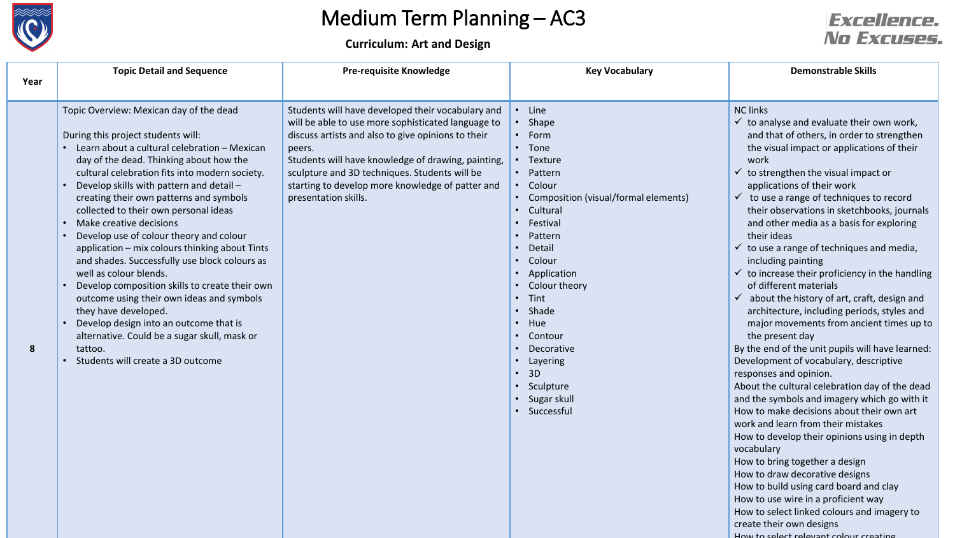

How to select relevant colour creating

|      | <b>Topic Detail and Sequence</b>                                                                                                                                                                                                                                                                                                                                                                                                                                                                                                                                                                                                                                                                                                                                                                                                            | <b>Pre-requisite Knowledge</b>                                                                                                                                                                                                                                                                                                                             | <b>Key Vocabulary</b>                                                                                                                                                                                                                                                                                                                             | <b>Demonstrable Skills</b>                                                                                                                                                                                                                                                                                                                                                                                                                                                                                                                                                                                                                                                                                                                                                                                                                                                                                                                                                                                                                                                                                                                                                                                                                                                                                                                                                               |
|------|---------------------------------------------------------------------------------------------------------------------------------------------------------------------------------------------------------------------------------------------------------------------------------------------------------------------------------------------------------------------------------------------------------------------------------------------------------------------------------------------------------------------------------------------------------------------------------------------------------------------------------------------------------------------------------------------------------------------------------------------------------------------------------------------------------------------------------------------|------------------------------------------------------------------------------------------------------------------------------------------------------------------------------------------------------------------------------------------------------------------------------------------------------------------------------------------------------------|---------------------------------------------------------------------------------------------------------------------------------------------------------------------------------------------------------------------------------------------------------------------------------------------------------------------------------------------------|------------------------------------------------------------------------------------------------------------------------------------------------------------------------------------------------------------------------------------------------------------------------------------------------------------------------------------------------------------------------------------------------------------------------------------------------------------------------------------------------------------------------------------------------------------------------------------------------------------------------------------------------------------------------------------------------------------------------------------------------------------------------------------------------------------------------------------------------------------------------------------------------------------------------------------------------------------------------------------------------------------------------------------------------------------------------------------------------------------------------------------------------------------------------------------------------------------------------------------------------------------------------------------------------------------------------------------------------------------------------------------------|
| Year |                                                                                                                                                                                                                                                                                                                                                                                                                                                                                                                                                                                                                                                                                                                                                                                                                                             |                                                                                                                                                                                                                                                                                                                                                            |                                                                                                                                                                                                                                                                                                                                                   |                                                                                                                                                                                                                                                                                                                                                                                                                                                                                                                                                                                                                                                                                                                                                                                                                                                                                                                                                                                                                                                                                                                                                                                                                                                                                                                                                                                          |
| 8    | Topic Overview: Mexican day of the dead<br>During this project students will:<br>Learn about a cultural celebration - Mexican<br>day of the dead. Thinking about how the<br>cultural celebration fits into modern society.<br>Develop skills with pattern and detail -<br>creating their own patterns and symbols<br>collected to their own personal ideas<br>Make creative decisions<br>Develop use of colour theory and colour<br>application - mix colours thinking about Tints<br>and shades. Successfully use block colours as<br>well as colour blends.<br>Develop composition skills to create their own<br>outcome using their own ideas and symbols<br>they have developed.<br>Develop design into an outcome that is<br>alternative. Could be a sugar skull, mask or<br>tattoo.<br>Students will create a 3D outcome<br>$\bullet$ | Students will have developed their vocabulary and<br>will be able to use more sophisticated language to<br>discuss artists and also to give opinions to their<br>peers.<br>Students will have knowledge of drawing, painting,<br>sculpture and 3D techniques. Students will be<br>starting to develop more knowledge of patter and<br>presentation skills. | • Line<br>• Shape<br>• Form<br>• Tone<br>• Texture<br>• Pattern<br>• Colour<br>• Composition (visual/formal elements)<br>Cultural<br>Festival<br>Pattern<br>Detail<br>Colour<br>• Application<br>Colour theory<br>• Tint<br>• Shade<br>• Hue<br>Contour<br>Decorative<br>• Layering<br>$\cdot$ 3D<br>• Sculpture<br>• Sugar skull<br>• Successful | <b>NC links</b><br>$\checkmark$ to analyse and evaluate their own work,<br>and that of others, in order to strengthen<br>the visual impact or applications of their<br>work<br>$\checkmark$ to strengthen the visual impact or<br>applications of their work<br>$\checkmark$ to use a range of techniques to record<br>their observations in sketchbooks, journals<br>and other media as a basis for exploring<br>their ideas<br>$\checkmark$ to use a range of techniques and media,<br>including painting<br>$\checkmark$ to increase their proficiency in the handling<br>of different materials<br>$\checkmark$ about the history of art, craft, design and<br>architecture, including periods, styles and<br>major movements from ancient times up to<br>the present day<br>By the end of the unit pupils will have learned:<br>Development of vocabulary, descriptive<br>responses and opinion.<br>About the cultural celebration day of the dead<br>and the symbols and imagery which go with it<br>How to make decisions about their own art<br>work and learn from their mistakes<br>How to develop their opinions using in depth<br>vocabulary<br>How to bring together a design<br>How to draw decorative designs<br>How to build using card board and clay<br>How to use wire in a proficient way<br>How to select linked colours and imagery to<br>create their own designs |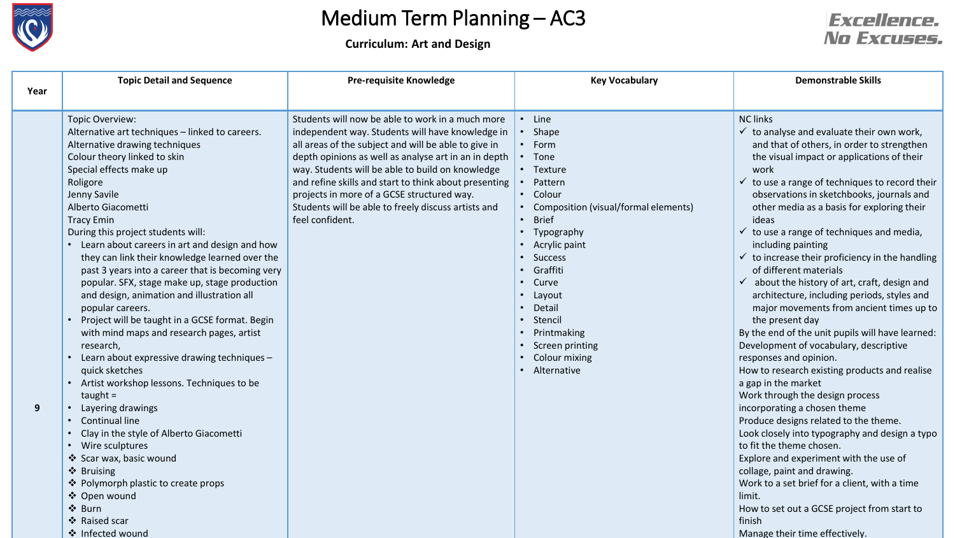

**Curriculum: Art and Design**



|      | <b>Topic Detail and Sequence</b>                                                                                                                                                                                                                                                                                                                                                                                                                                                                                                                                                                                                                                                                                                                                                                                                                                                                                                                                                                                                                               | <b>Pre-requisite Knowledge</b>                                                                                                                                                                                                                                                                                                                                                                                                                            | <b>Key Vocabulary</b>                                                                                                                                                                                                                                                                                                   | <b>Demonstrable Skills</b>                                                                                                                                                                                                                                                                                                                                                                                                                                                                                                                                                                                                                                                                                                                                                                                                                                                                                                                                                                                                                                                                                                                                                                                                                                                                                            |
|------|----------------------------------------------------------------------------------------------------------------------------------------------------------------------------------------------------------------------------------------------------------------------------------------------------------------------------------------------------------------------------------------------------------------------------------------------------------------------------------------------------------------------------------------------------------------------------------------------------------------------------------------------------------------------------------------------------------------------------------------------------------------------------------------------------------------------------------------------------------------------------------------------------------------------------------------------------------------------------------------------------------------------------------------------------------------|-----------------------------------------------------------------------------------------------------------------------------------------------------------------------------------------------------------------------------------------------------------------------------------------------------------------------------------------------------------------------------------------------------------------------------------------------------------|-------------------------------------------------------------------------------------------------------------------------------------------------------------------------------------------------------------------------------------------------------------------------------------------------------------------------|-----------------------------------------------------------------------------------------------------------------------------------------------------------------------------------------------------------------------------------------------------------------------------------------------------------------------------------------------------------------------------------------------------------------------------------------------------------------------------------------------------------------------------------------------------------------------------------------------------------------------------------------------------------------------------------------------------------------------------------------------------------------------------------------------------------------------------------------------------------------------------------------------------------------------------------------------------------------------------------------------------------------------------------------------------------------------------------------------------------------------------------------------------------------------------------------------------------------------------------------------------------------------------------------------------------------------|
| Year |                                                                                                                                                                                                                                                                                                                                                                                                                                                                                                                                                                                                                                                                                                                                                                                                                                                                                                                                                                                                                                                                |                                                                                                                                                                                                                                                                                                                                                                                                                                                           |                                                                                                                                                                                                                                                                                                                         |                                                                                                                                                                                                                                                                                                                                                                                                                                                                                                                                                                                                                                                                                                                                                                                                                                                                                                                                                                                                                                                                                                                                                                                                                                                                                                                       |
| 9    | Topic Overview:<br>Alternative art techniques - linked to careers.<br>Alternative drawing techniques<br>Colour theory linked to skin<br>Special effects make up<br>Roligore<br>Jenny Savile<br>Alberto Giacometti<br><b>Tracy Emin</b><br>During this project students will:<br>• Learn about careers in art and design and how<br>they can link their knowledge learned over the<br>past 3 years into a career that is becoming very<br>popular. SFX, stage make up, stage production<br>and design, animation and illustration all<br>popular careers.<br>Project will be taught in a GCSE format. Begin<br>with mind maps and research pages, artist<br>research,<br>• Learn about expressive drawing techniques -<br>quick sketches<br>• Artist workshop lessons. Techniques to be<br>taught $=$<br>Layering drawings<br>• Continual line<br>• Clay in the style of Alberto Giacometti<br>• Wire sculptures<br>❖ Scar wax, basic wound<br>❖ Bruising<br>❖ Polymorph plastic to create props<br>❖ Open wound<br>❖ Burn<br>❖ Raised scar<br>❖ Infected wound | Students will now be able to work in a much more<br>independent way. Students will have knowledge in<br>all areas of the subject and will be able to give in<br>depth opinions as well as analyse art in an in depth<br>way. Students will be able to build on knowledge<br>and refine skills and start to think about presenting<br>projects in more of a GCSE structured way.<br>Students will be able to freely discuss artists and<br>feel confident. | • Line<br>Shape<br>Form<br>Tone<br>• Texture<br>Pattern<br>• Colour<br>• Composition (visual/formal elements)<br><b>Brief</b><br>$\bullet$<br>Typography<br>$\bullet$<br>Acrylic paint<br>Success<br>Graffiti<br>Curve<br>Layout<br>Detail<br>Stencil<br>Printmaking<br>Screen printing<br>Colour mixing<br>Alternative | <b>NC links</b><br>$\checkmark$ to analyse and evaluate their own work,<br>and that of others, in order to strengthen<br>the visual impact or applications of their<br>work<br>$\checkmark$ to use a range of techniques to record their<br>observations in sketchbooks, journals and<br>other media as a basis for exploring their<br>ideas<br>$\checkmark$ to use a range of techniques and media,<br>including painting<br>$\checkmark$ to increase their proficiency in the handling<br>of different materials<br>$\checkmark$ about the history of art, craft, design and<br>architecture, including periods, styles and<br>major movements from ancient times up to<br>the present day<br>By the end of the unit pupils will have learned:<br>Development of vocabulary, descriptive<br>responses and opinion.<br>How to research existing products and realise<br>a gap in the market<br>Work through the design process<br>incorporating a chosen theme<br>Produce designs related to the theme.<br>Look closely into typography and design a typo<br>to fit the theme chosen.<br>Explore and experiment with the use of<br>collage, paint and drawing.<br>Work to a set brief for a client, with a time<br>limit.<br>How to set out a GCSE project from start to<br>finish<br>Manage their time effectively. |